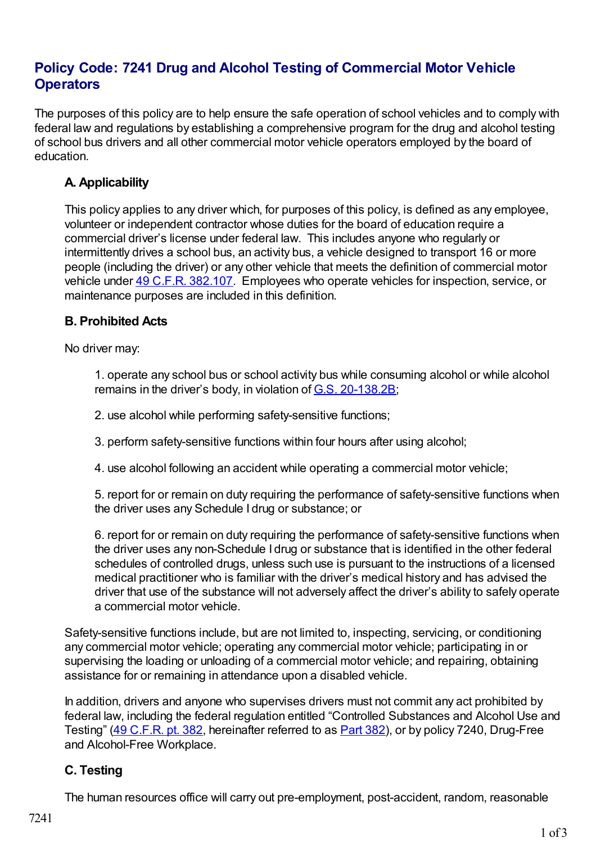# **Policy Code: 7241 Drug and Alcohol Testing of Commercial Motor Vehicle Operators**

The purposes of this policy are to help ensure the safe operation of school vehicles and to comply with federal law and regulations by establishing a comprehensive program for the drug and alcohol testing of school bus drivers and all other commercial motor vehicle operators employed by the board of education.

## **A. Applicability**

This policy applies to any driver which, for purposes of this policy, is defined as any employee, volunteer or independent contractor whose duties for the board of education require a commercial driver's license under federal law. This includes anyone who regularly or intermittently drives a school bus, an activity bus, a vehicle designed to transport 16 or more people (including the driver) or any other vehicle that meets the definition of commercial motor vehicle under 49 C.F.R. [382.107](http://redirector.microscribepub.com/?cat=cfr&loc=us&id=49&spec=382.107). Employees who operate vehicles for inspection, service, or maintenance purposes are included in this definition.

### **B. Prohibited Acts**

No driver may:

1. operate any school bus or school activity bus while consuming alcohol or while alcohol remains in the driver's body, in violation of G.S. [20-138.2B](http://redirector.microscribepub.com/?cat=stat&loc=nc&id=20&spec=138.2b);

- 2. use alcohol while performing safety-sensitive functions;
- 3. perform safety-sensitive functions within four hours after using alcohol;
- 4. use alcohol following an accident while operating a commercial motor vehicle;

5. report for or remain on duty requiring the performance of safety-sensitive functions when the driver uses any Schedule I drug or substance; or

6. report for or remain on duty requiring the performance of safety-sensitive functions when the driver uses any non-Schedule I drug or substance that is identified in the other federal schedules of controlled drugs, unless such use is pursuant to the instructions of a licensed medical practitioner who is familiar with the driver's medical history and has advised the driver that use of the substance will not adversely affect the driver's ability to safely operate a commercial motor vehicle.

Safety-sensitive functions include, but are not limited to, inspecting, servicing, or conditioning any commercial motor vehicle; operating any commercial motor vehicle; participating in or supervising the loading or unloading of a commercial motor vehicle; and repairing, obtaining assistance for or remaining in attendance upon a disabled vehicle.

In addition, drivers and anyone who supervises drivers must not commit any act prohibited by federal law, including the federal regulation entitled "Controlled Substances and Alcohol Use and Testing" (49 [C.F.R.](http://redirector.microscribepub.com/?cat=cfr&loc=us&id=49&spec=382) pt. 382, hereinafter referred to as [Part](http://redirector.microscribepub.com/?cat=cfr&loc=us&id=49&spec=382) 382), or by policy 7240, Drug-Free and Alcohol-Free Workplace.

## **C. Testing**

The human resources office will carry out pre-employment, post-accident, random, reasonable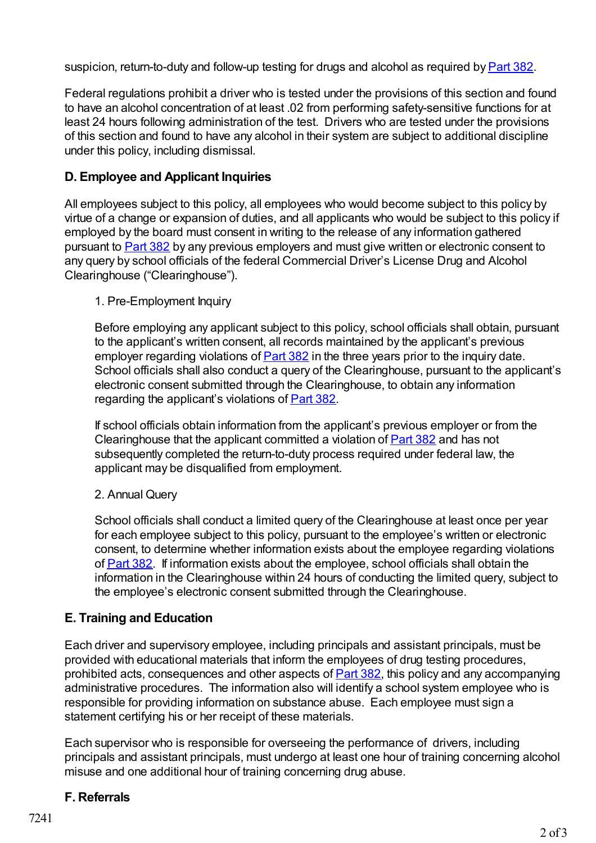suspicion, return-to-duty and follow-up testing for drugs and alcohol as required by **[Part](http://redirector.microscribepub.com/?cat=cfr&loc=us&id=49&spec=382) 382**.

Federal regulations prohibit a driver who is tested under the provisions of this section and found to have an alcohol concentration of at least .02 from performing safety-sensitive functions for at least 24 hours following administration of the test. Drivers who are tested under the provisions of this section and found to have any alcohol in their system are subject to additional discipline under this policy, including dismissal.

#### **D. Employee and Applicant Inquiries**

All employees subject to this policy, all employees who would become subject to this policy by virtue of a change or expansion of duties, and all applicants who would be subject to this policy if employed by the board must consent in writing to the release of any information gathered pursuant to [Part](http://redirector.microscribepub.com/?cat=cfr&loc=us&id=49&spec=382) 382 by any previous employers and must give written or electronic consent to any query by school officials of the federal Commercial Driver's License Drug and Alcohol Clearinghouse ("Clearinghouse").

#### 1. Pre-Employment Inquiry

Before employing any applicant subject to this policy, school officials shall obtain, pursuant to the applicant's written consent, all records maintained by the applicant's previous employer regarding violations of [Part](http://redirector.microscribepub.com/?cat=cfr&loc=us&id=49&spec=382) 382 in the three years prior to the inquiry date. School officials shall also conduct a query of the Clearinghouse, pursuant to the applicant's electronic consent submitted through the Clearinghouse, to obtain any information regarding the applicant's violations of **[Part](http://redirector.microscribepub.com/?cat=cfr&loc=us&id=49&spec=382) 382**.

If school officials obtain information from the applicant's previous employer or from the Clearinghouse that the applicant committed a violation of **[Part](http://redirector.microscribepub.com/?cat=cfr&loc=us&id=49&spec=382) 382** and has not subsequently completed the return-to-duty process required under federal law, the applicant may be disqualified from employment.

#### 2. Annual Query

School officials shall conduct a limited query of the Clearinghouse at least once per year for each employee subject to this policy, pursuant to the employee's written or electronic consent, to determine whether information exists about the employee regarding violations of **[Part](http://redirector.microscribepub.com/?cat=cfr&loc=us&id=49&spec=382) 382.** If information exists about the employee, school officials shall obtain the information in the Clearinghouse within 24 hours of conducting the limited query, subject to the employee's electronic consent submitted through the Clearinghouse.

#### **E. Training and Education**

Each driver and supervisory employee, including principals and assistant principals, must be provided with educational materials that inform the employees of drug testing procedures, prohibited acts, consequences and other aspects of [Part](http://redirector.microscribepub.com/?cat=cfr&loc=us&id=49&spec=382) 382, this policy and any accompanying administrative procedures. The information also will identify a school system employee who is responsible for providing information on substance abuse. Each employee must sign a statement certifying his or her receipt of these materials.

Each supervisor who is responsible for overseeing the performance of drivers, including principals and assistant principals, must undergo at least one hour of training concerning alcohol misuse and one additional hour of training concerning drug abuse.

#### **F. Referrals**